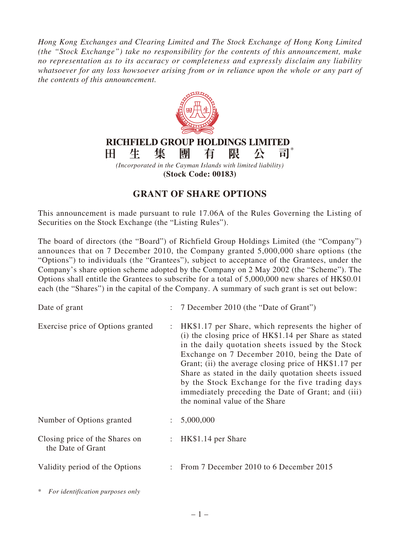*Hong Kong Exchanges and Clearing Limited and The Stock Exchange of Hong Kong Limited (the "Stock Exchange") take no responsibility for the contents of this announcement, make no representation as to its accuracy or completeness and expressly disclaim any liability whatsoever for any loss howsoever arising from or in reliance upon the whole or any part of the contents of this announcement.*



**(Stock Code: 00183)**

## **GRANT OF SHARE OPTIONS**

This announcement is made pursuant to rule 17.06A of the Rules Governing the Listing of Securities on the Stock Exchange (the "Listing Rules").

The board of directors (the "Board") of Richfield Group Holdings Limited (the "Company") announces that on 7 December 2010, the Company granted 5,000,000 share options (the "Options") to individuals (the "Grantees"), subject to acceptance of the Grantees, under the Company's share option scheme adopted by the Company on 2 May 2002 (the "Scheme"). The Options shall entitle the Grantees to subscribe for a total of 5,000,000 new shares of HK\$0.01 each (the "Shares") in the capital of the Company. A summary of such grant is set out below:

| Date of grant                                       | $\mathcal{L}$             | 7 December 2010 (the "Date of Grant")                                                                                                                                                                                                                                                                                                                                                                                                                                          |
|-----------------------------------------------------|---------------------------|--------------------------------------------------------------------------------------------------------------------------------------------------------------------------------------------------------------------------------------------------------------------------------------------------------------------------------------------------------------------------------------------------------------------------------------------------------------------------------|
| Exercise price of Options granted                   | $\mathbb{Z}^{\mathbb{Z}}$ | HK\$1.17 per Share, which represents the higher of<br>(i) the closing price of HK\$1.14 per Share as stated<br>in the daily quotation sheets issued by the Stock<br>Exchange on 7 December 2010, being the Date of<br>Grant; (ii) the average closing price of HK\$1.17 per<br>Share as stated in the daily quotation sheets issued<br>by the Stock Exchange for the five trading days<br>immediately preceding the Date of Grant; and (iii)<br>the nominal value of the Share |
| Number of Options granted                           | $\mathcal{L}$             | 5,000,000                                                                                                                                                                                                                                                                                                                                                                                                                                                                      |
| Closing price of the Shares on<br>the Date of Grant | $\mathcal{L}$             | HK\$1.14 per Share                                                                                                                                                                                                                                                                                                                                                                                                                                                             |
| Validity period of the Options                      |                           | From 7 December 2010 to 6 December 2015                                                                                                                                                                                                                                                                                                                                                                                                                                        |

\* *For identification purposes only*